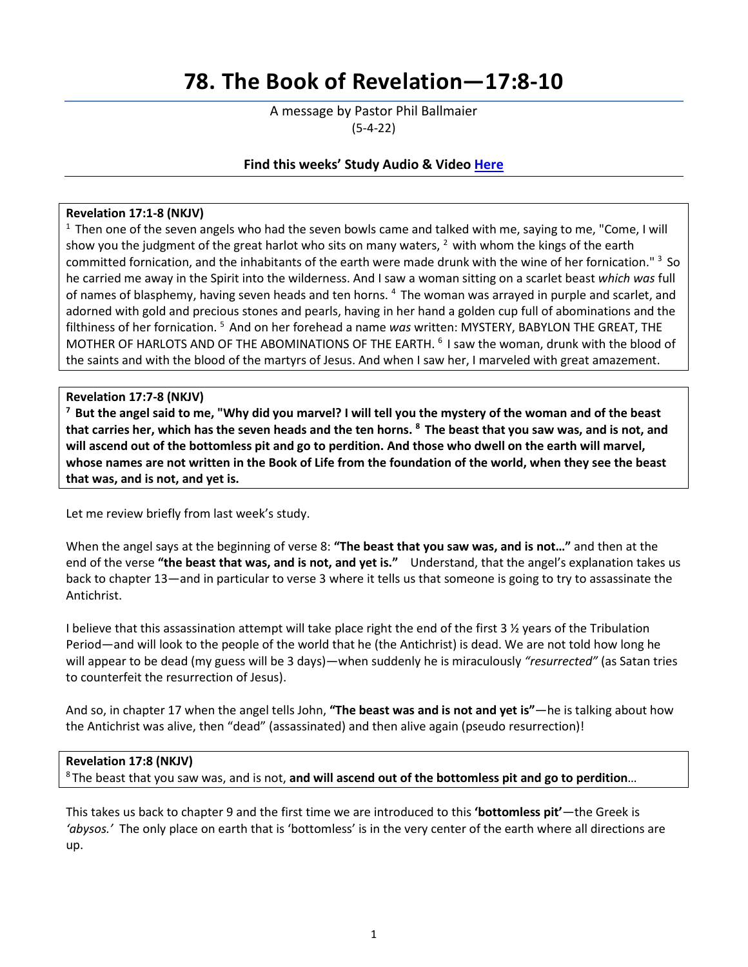# **78. The Book of Revelation—17:8-10**

A message by Pastor Phil Ballmaier (5-4-22)

# **Find this weeks' Study Audio & Video [Here](https://www.ccelkgrove.org/wednesdays)**

## **Revelation 17:1-8 (NKJV)**

 $1$  Then one of the seven angels who had the seven bowls came and talked with me, saying to me, "Come, I will show you the judgment of the great harlot who sits on many waters,  $2$  with whom the kings of the earth committed fornication, and the inhabitants of the earth were made drunk with the wine of her fornication." 3 So he carried me away in the Spirit into the wilderness. And I saw a woman sitting on a scarlet beast *which was* full of names of blasphemy, having seven heads and ten horns. <sup>4</sup> The woman was arrayed in purple and scarlet, and adorned with gold and precious stones and pearls, having in her hand a golden cup full of abominations and the filthiness of her fornication. 5 And on her forehead a name *was* written: MYSTERY, BABYLON THE GREAT, THE MOTHER OF HARLOTS AND OF THE ABOMINATIONS OF THE EARTH. 6 I saw the woman, drunk with the blood of the saints and with the blood of the martyrs of Jesus. And when I saw her, I marveled with great amazement.

Revelation 17:7-8 (NKJV)<br><sup>7</sup> But the angel said to me, "Why did you marvel? I will tell you the mystery of the woman and of the beast **that carries her, which has the seven heads and the ten horns. 8 The beast that you saw was, and is not, and will ascend out of the bottomless pit and go to perdition. And those who dwell on the earth will marvel, whose names are not written in the Book of Life from the foundation of the world, when they see the beast that was, and is not, and yet is.**

Let me review briefly from last week's study.

When the angel says at the beginning of verse 8: **"The beast that you saw was, and is not…"** and then at the end of the verse **"the beast that was, and is not, and yet is."** Understand, that the angel's explanation takes us back to chapter 13—and in particular to verse 3 where it tells us that someone is going to try to assassinate the Antichrist.

I believe that this assassination attempt will take place right the end of the first 3 ½ years of the Tribulation Period—and will look to the people of the world that he (the Antichrist) is dead. We are not told how long he will appear to be dead (my guess will be 3 days)—when suddenly he is miraculously *"resurrected"* (as Satan tries to counterfeit the resurrection of Jesus).

And so, in chapter 17 when the angel tells John, **"The beast was and is not and yet is"**—he is talking about how the Antichrist was alive, then "dead" (assassinated) and then alive again (pseudo resurrection)!

## **Revelation 17:8 (NKJV)**

8 The beast that you saw was, and is not, **and will ascend out of the bottomless pit and go to perdition**…

This takes us back to chapter 9 and the first time we are introduced to this **'bottomless pit'**—the Greek is *'abysos.'* The only place on earth that is 'bottomless' is in the very center of the earth where all directions are up.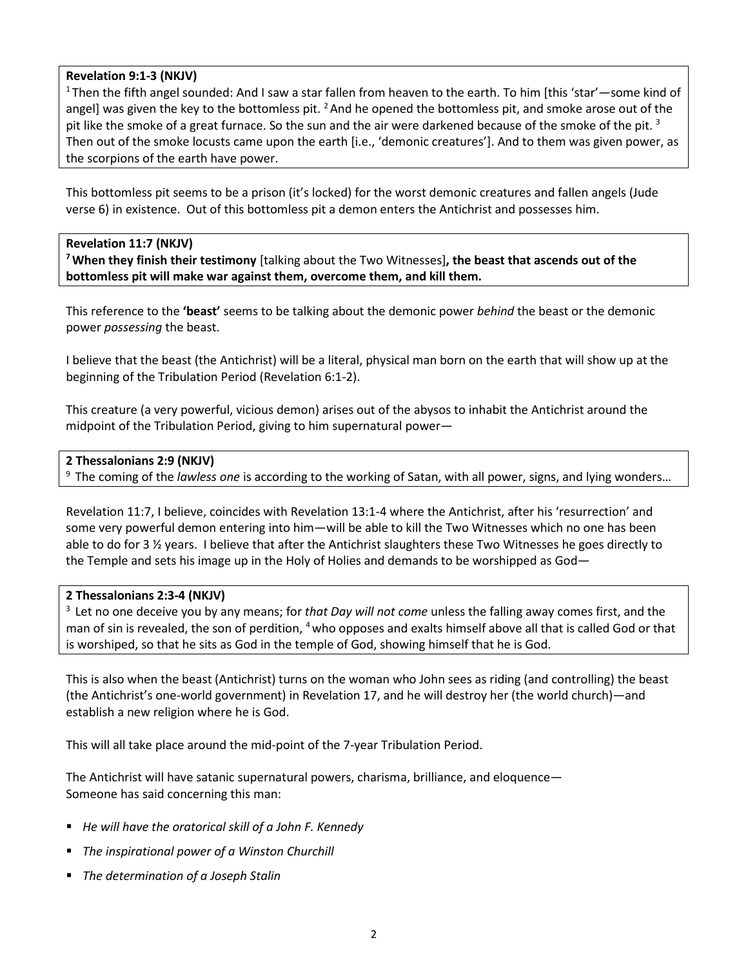# **Revelation 9:1-3 (NKJV)**

1 Then the fifth angel sounded: And I saw a star fallen from heaven to the earth. To him [this 'star'—some kind of angel] was given the key to the bottomless pit. <sup>2</sup> And he opened the bottomless pit, and smoke arose out of the pit like the smoke of a great furnace. So the sun and the air were darkened because of the smoke of the pit.<sup>3</sup> Then out of the smoke locusts came upon the earth [i.e., 'demonic creatures']. And to them was given power, as the scorpions of the earth have power.

This bottomless pit seems to be a prison (it's locked) for the worst demonic creatures and fallen angels (Jude verse 6) in existence. Out of this bottomless pit a demon enters the Antichrist and possesses him.

# **Revelation 11:7 (NKJV)**

**7 When they finish their testimony** [talking about the Two Witnesses]**, the beast that ascends out of the bottomless pit will make war against them, overcome them, and kill them.** 

This reference to the **'beast'** seems to be talking about the demonic power *behind* the beast or the demonic power *possessing* the beast.

I believe that the beast (the Antichrist) will be a literal, physical man born on the earth that will show up at the beginning of the Tribulation Period (Revelation 6:1-2).

This creature (a very powerful, vicious demon) arises out of the abysos to inhabit the Antichrist around the midpoint of the Tribulation Period, giving to him supernatural power—

# **2 Thessalonians 2:9 (NKJV)**

9 The coming of the *lawless one* is according to the working of Satan, with all power, signs, and lying wonders…

Revelation 11:7, I believe, coincides with Revelation 13:1-4 where the Antichrist, after his 'resurrection' and some very powerful demon entering into him—will be able to kill the Two Witnesses which no one has been able to do for 3 ½ years. I believe that after the Antichrist slaughters these Two Witnesses he goes directly to the Temple and sets his image up in the Holy of Holies and demands to be worshipped as God—

# **2 Thessalonians 2:3-4 (NKJV)**

3 Let no one deceive you by any means; for *that Day will not come* unless the falling away comes first, and the man of sin is revealed, the son of perdition, <sup>4</sup> who opposes and exalts himself above all that is called God or that is worshiped, so that he sits as God in the temple of God, showing himself that he is God.

This is also when the beast (Antichrist) turns on the woman who John sees as riding (and controlling) the beast (the Antichrist's one-world government) in Revelation 17, and he will destroy her (the world church)—and establish a new religion where he is God.

This will all take place around the mid-point of the 7-year Tribulation Period.

The Antichrist will have satanic supernatural powers, charisma, brilliance, and eloquence— Someone has said concerning this man:

- *He will have the oratorical skill of a John F. Kennedy*
- *The inspirational power of a Winston Churchill*
- *The determination of a Joseph Stalin*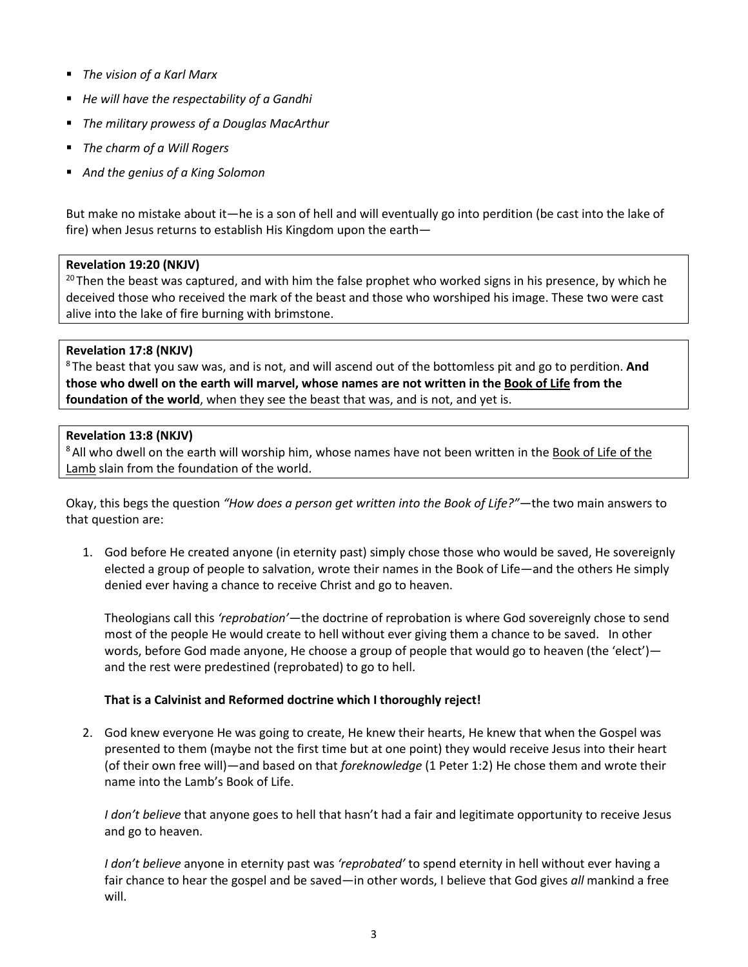- *The vision of a Karl Marx*
- *He will have the respectability of a Gandhi*
- *The military prowess of a Douglas MacArthur*
- *The charm of a Will Rogers*
- *And the genius of a King Solomon*

But make no mistake about it—he is a son of hell and will eventually go into perdition (be cast into the lake of fire) when Jesus returns to establish His Kingdom upon the earth—

# **Revelation 19:20 (NKJV)**

<sup>20</sup> Then the beast was captured, and with him the false prophet who worked signs in his presence, by which he deceived those who received the mark of the beast and those who worshiped his image. These two were cast alive into the lake of fire burning with brimstone.

# **Revelation 17:8 (NKJV)**

8 The beast that you saw was, and is not, and will ascend out of the bottomless pit and go to perdition. **And those who dwell on the earth will marvel, whose names are not written in the Book of Life from the foundation of the world**, when they see the beast that was, and is not, and yet is.

# **Revelation 13:8 (NKJV)**

<sup>8</sup> All who dwell on the earth will worship him, whose names have not been written in the Book of Life of the Lamb slain from the foundation of the world.

Okay, this begs the question *"How does a person get written into the Book of Life?"*—the two main answers to that question are:

1. God before He created anyone (in eternity past) simply chose those who would be saved, He sovereignly elected a group of people to salvation, wrote their names in the Book of Life—and the others He simply denied ever having a chance to receive Christ and go to heaven.

Theologians call this *'reprobation'*—the doctrine of reprobation is where God sovereignly chose to send most of the people He would create to hell without ever giving them a chance to be saved. In other words, before God made anyone, He choose a group of people that would go to heaven (the 'elect') and the rest were predestined (reprobated) to go to hell.

# **That is a Calvinist and Reformed doctrine which I thoroughly reject!**

2. God knew everyone He was going to create, He knew their hearts, He knew that when the Gospel was presented to them (maybe not the first time but at one point) they would receive Jesus into their heart (of their own free will)—and based on that *foreknowledge* (1 Peter 1:2) He chose them and wrote their name into the Lamb's Book of Life.

*I don't believe* that anyone goes to hell that hasn't had a fair and legitimate opportunity to receive Jesus and go to heaven.

*I don't believe* anyone in eternity past was *'reprobated'* to spend eternity in hell without ever having a fair chance to hear the gospel and be saved—in other words, I believe that God gives *all* mankind a free will.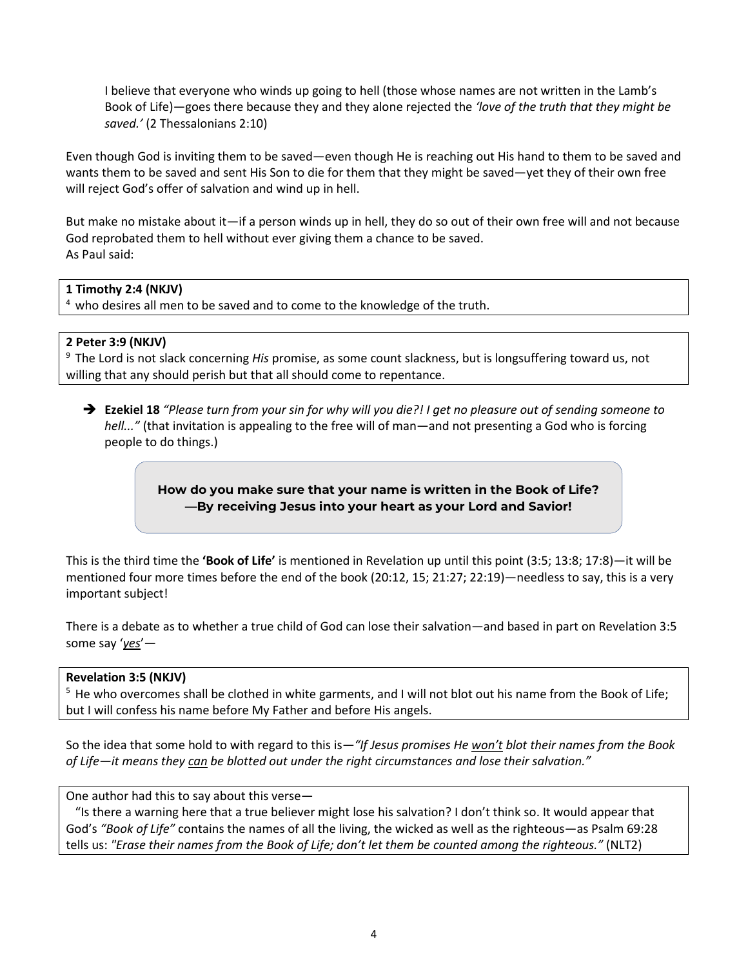I believe that everyone who winds up going to hell (those whose names are not written in the Lamb's Book of Life)—goes there because they and they alone rejected the *'love of the truth that they might be saved.'* (2 Thessalonians 2:10)

Even though God is inviting them to be saved—even though He is reaching out His hand to them to be saved and wants them to be saved and sent His Son to die for them that they might be saved—yet they of their own free will reject God's offer of salvation and wind up in hell.

But make no mistake about it—if a person winds up in hell, they do so out of their own free will and not because God reprobated them to hell without ever giving them a chance to be saved. As Paul said:

# **1 Timothy 2:4 (NKJV)**

<sup>4</sup> who desires all men to be saved and to come to the knowledge of the truth.

# **2 Peter 3:9 (NKJV)**

9 The Lord is not slack concerning *His* promise, as some count slackness, but is longsuffering toward us, not willing that any should perish but that all should come to repentance.

 **Ezekiel 18** *"Please turn from your sin for why will you die?! I get no pleasure out of sending someone to hell..."* (that invitation is appealing to the free will of man—and not presenting a God who is forcing people to do things.)

> **How do you make sure that your name is written in the Book of Life? —By receiving Jesus into your heart as your Lord and Savior!**

This is the third time the **'Book of Life'** is mentioned in Revelation up until this point (3:5; 13:8; 17:8)—it will be mentioned four more times before the end of the book (20:12, 15; 21:27; 22:19)—needless to say, this is a very important subject!

There is a debate as to whether a true child of God can lose their salvation—and based in part on Revelation 3:5 some say '*yes*'—

# **Revelation 3:5 (NKJV)**

<sup>5</sup> He who overcomes shall be clothed in white garments, and I will not blot out his name from the Book of Life; but I will confess his name before My Father and before His angels.

So the idea that some hold to with regard to this is*—"If Jesus promises He won't blot their names from the Book of Life—it means they can be blotted out under the right circumstances and lose their salvation."*

One author had this to say about this verse—

 "Is there a warning here that a true believer might lose his salvation? I don't think so. It would appear that God's *"Book of Life"* contains the names of all the living, the wicked as well as the righteous—as Psalm 69:28 tells us: *"Erase their names from the Book of Life; don't let them be counted among the righteous."* (NLT2)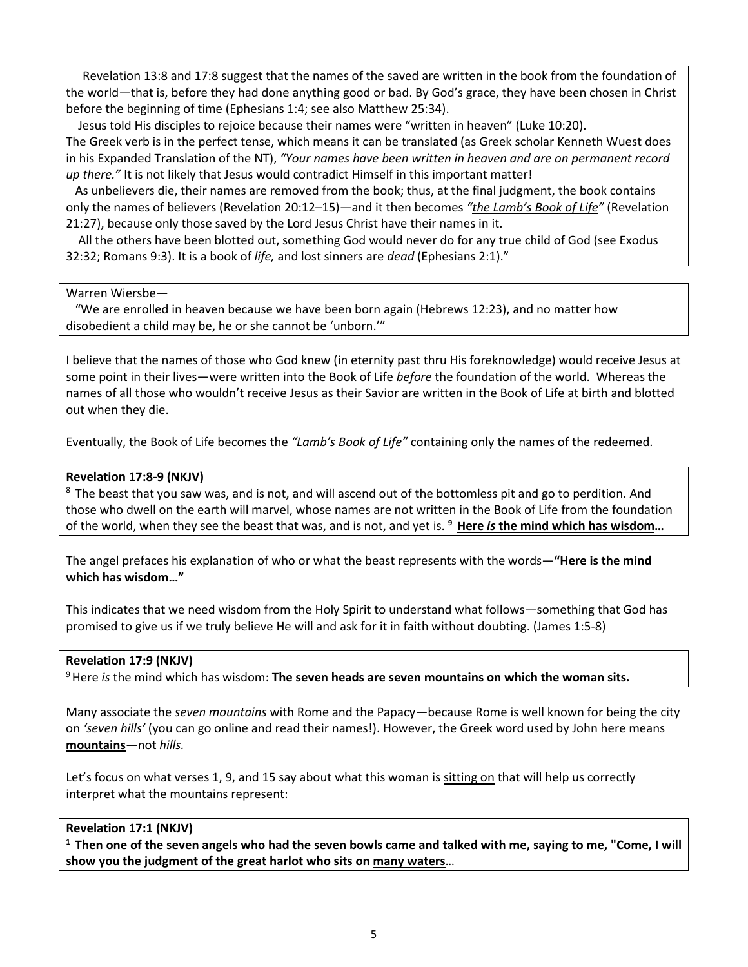Revelation 13:8 and 17:8 suggest that the names of the saved are written in the book from the foundation of the world—that is, before they had done anything good or bad. By God's grace, they have been chosen in Christ before the beginning of time (Ephesians 1:4; see also Matthew 25:34).

 Jesus told His disciples to rejoice because their names were "written in heaven" (Luke 10:20). The Greek verb is in the perfect tense, which means it can be translated (as Greek scholar Kenneth Wuest does in his Expanded Translation of the NT), *"Your names have been written in heaven and are on permanent record up there."* It is not likely that Jesus would contradict Himself in this important matter!

 As unbelievers die, their names are removed from the book; thus, at the final judgment, the book contains only the names of believers (Revelation 20:12–15)—and it then becomes *"the Lamb's Book of Life"* (Revelation 21:27), because only those saved by the Lord Jesus Christ have their names in it.

 All the others have been blotted out, something God would never do for any true child of God (see Exodus 32:32; Romans 9:3). It is a book of *life,* and lost sinners are *dead* (Ephesians 2:1)."

# Warren Wiersbe—

 "We are enrolled in heaven because we have been born again (Hebrews 12:23), and no matter how disobedient a child may be, he or she cannot be 'unborn.'"

I believe that the names of those who God knew (in eternity past thru His foreknowledge) would receive Jesus at some point in their lives—were written into the Book of Life *before* the foundation of the world. Whereas the names of all those who wouldn't receive Jesus as their Savior are written in the Book of Life at birth and blotted out when they die.

Eventually, the Book of Life becomes the *"Lamb's Book of Life"* containing only the names of the redeemed.

# **Revelation 17:8-9 (NKJV)**

<sup>8</sup> The beast that you saw was, and is not, and will ascend out of the bottomless pit and go to perdition. And those who dwell on the earth will marvel, whose names are not written in the Book of Life from the foundation of the world, when they see the beast that was, and is not, and yet is. **9 Here** *is* **the mind which has wisdom…**

The angel prefaces his explanation of who or what the beast represents with the words—**"Here is the mind which has wisdom…"**

This indicates that we need wisdom from the Holy Spirit to understand what follows—something that God has promised to give us if we truly believe He will and ask for it in faith without doubting. (James 1:5-8)

# **Revelation 17:9 (NKJV)**

9 Here *is* the mind which has wisdom: **The seven heads are seven mountains on which the woman sits.** 

Many associate the *seven mountains* with Rome and the Papacy—because Rome is well known for being the city on *'seven hills'* (you can go online and read their names!). However, the Greek word used by John here means **mountains***—*not *hills.*

Let's focus on what verses 1, 9, and 15 say about what this woman is sitting on that will help us correctly interpret what the mountains represent:

# **Revelation 17:1 (NKJV)**

**1 Then one of the seven angels who had the seven bowls came and talked with me, saying to me, "Come, I will show you the judgment of the great harlot who sits on many waters**…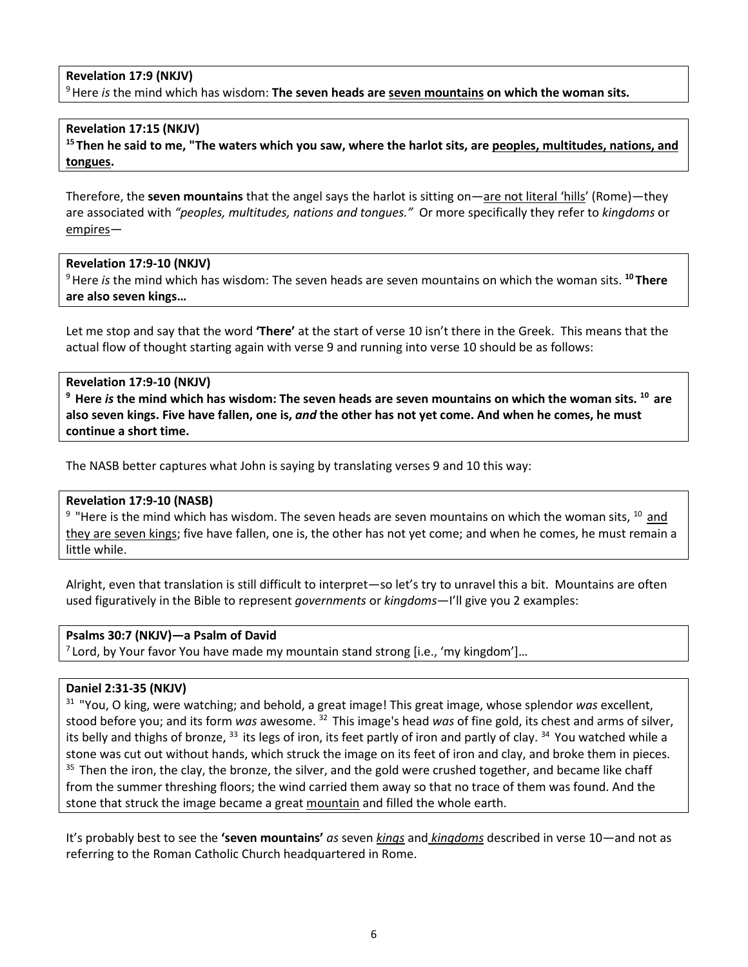# **Revelation 17:9 (NKJV)**

9 Here *is* the mind which has wisdom: **The seven heads are seven mountains on which the woman sits.** 

# **Revelation 17:15 (NKJV)**

**15 Then he said to me, "The waters which you saw, where the harlot sits, are peoples, multitudes, nations, and tongues.** 

Therefore, the **seven mountains** that the angel says the harlot is sitting on—are not literal 'hills' (Rome)—they are associated with *"peoples, multitudes, nations and tongues."* Or more specifically they refer to *kingdoms* or empires—

# **Revelation 17:9-10 (NKJV)**

9 Here *is* the mind which has wisdom: The seven heads are seven mountains on which the woman sits. **<sup>10</sup> There are also seven kings…**

Let me stop and say that the word **'There'** at the start of verse 10 isn't there in the Greek. This means that the actual flow of thought starting again with verse 9 and running into verse 10 should be as follows:

# **Revelation 17:9-10 (NKJV)**

**9 Here** *is* **the mind which has wisdom: The seven heads are seven mountains on which the woman sits. 10 are also seven kings. Five have fallen, one is,** *and* **the other has not yet come. And when he comes, he must continue a short time.**

The NASB better captures what John is saying by translating verses 9 and 10 this way:

# **Revelation 17:9-10 (NASB)**

 $9$  "Here is the mind which has wisdom. The seven heads are seven mountains on which the woman sits,  $10$  and they are seven kings; five have fallen, one is, the other has not yet come; and when he comes, he must remain a little while.

Alright, even that translation is still difficult to interpret—so let's try to unravel this a bit. Mountains are often used figuratively in the Bible to represent *governments* or *kingdoms*—I'll give you 2 examples:

## **Psalms 30:7 (NKJV)—a Psalm of David**

 $7$  Lord, by Your favor You have made my mountain stand strong [i.e., 'my kingdom']...

## **Daniel 2:31-35 (NKJV)**

31 "You, O king, were watching; and behold, a great image! This great image, whose splendor *was* excellent, stood before you; and its form *was* awesome. 32 This image's head *was* of fine gold, its chest and arms of silver, its belly and thighs of bronze,  $33$  its legs of iron, its feet partly of iron and partly of clay.  $34$  You watched while a stone was cut out without hands, which struck the image on its feet of iron and clay, and broke them in pieces. <sup>35</sup> Then the iron, the clay, the bronze, the silver, and the gold were crushed together, and became like chaff from the summer threshing floors; the wind carried them away so that no trace of them was found. And the stone that struck the image became a great mountain and filled the whole earth.

It's probably best to see the **'seven mountains'** *as* seven *kings* and *kingdoms* described in verse 10—and not as referring to the Roman Catholic Church headquartered in Rome.